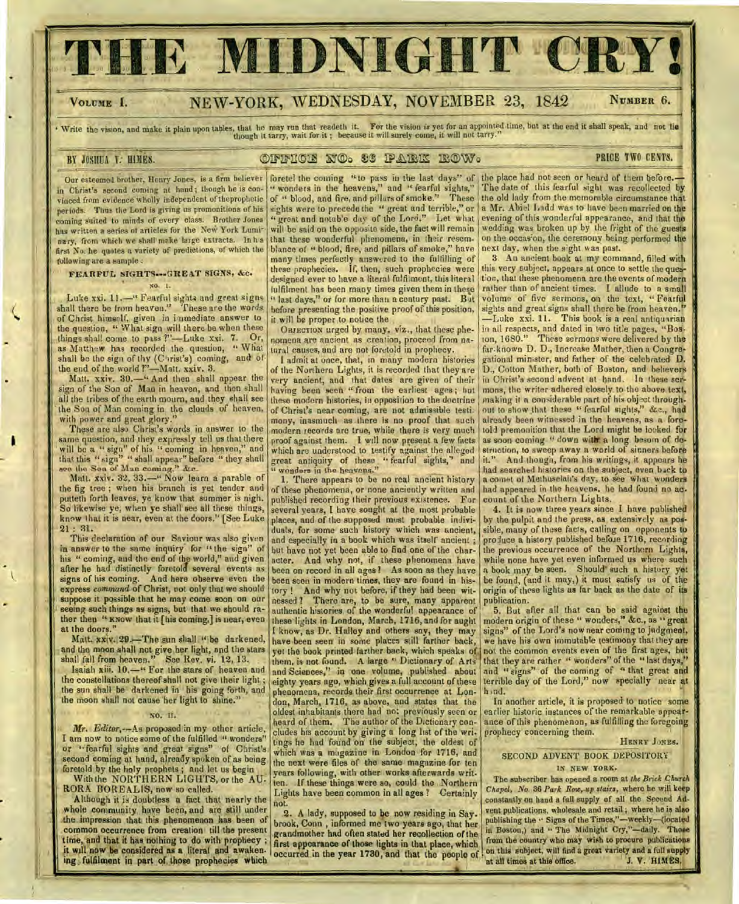# E MIDNIGHT CR

## VOLUME I. NEW-YORK, WEDNESDAY, NOVEMBER 23, 1842 NUMBER 6.

Write the vision, and make it plain upon tables, that he may run that readeth it. For the vision is yet for an appointed time, but at the end it shall speak, and not lie<br>though it tarry, wait for it; because it will surely

## BY JOSHUA V: HIMES. **OFFICE NO. 33 PARK ROW. BOW** PRICE TWO CENTS.

Our esteemed brother, Henry Jones, is a firm believer in Christ's second corning at hand; though he is convinced from evidence Wholly independent of theprophetic periods. Thus the Lord is giving us promonitions of his coming suited to minds of every class. Brother Jones has written a series of articles for the New York Luminary, from which we shall make large extracts. In h s first No. he quotes a variety of predictions, of which the following are a sample :

#### FEARFUL SIGHTS-GREAT SIGNS, &c. NO. I.

Luke xxi. 11.—" Fearful sights and great signs shall there be from heaven." These are the words of Christ himself, given in iaimediate answer to the question, " What sign will there be when these things shall come to pass ?"—Luke xxi. 7. Or, as Matthew has recorded the question, " What shall be the sign of thy (Christ's) coming, and of the end of the world ?"—Matt. xxiv. 3.

Matt. xxiv. 30.—" And then shall appear the sign of the Son of Man in heaven, and then shall all the tribes of the earth mourn, and they shall see the Son of Man coming in the clouds of heaven, with power and great glory."

These are also Christ's words in answer to the same question, and they expressly tell us that there will be a " sign" of his " coming in heaven," and that this "sign" " shall appear" before " they shall aeo the Son of Man corning." *&e.* 

Matt. xxiv. 32, 33.—" Now learn a parable of the fig tree ; when his branch is yet tender and putteth forth leaves, ye know that summer is nigh. So likewise ye, when ye shall see all these things, know that it is near, even at the doors." [See Luke 21 : 31.

This declaration of our Saviour was also given in answer to the same inquiry for "the sign" of his " coming, and the end of the world," and given after he had distinctly foretold several events as signs of his coming. And here observe even the express *command* of Christ, not only that we should suppose it possible that he may come soon on our seeing such things as signs, but that we should rather then " KNOW that it [his coming,] is near, even at the doors."

Matt. xxiv. 29.—The sun shall " be darkened, and the moon shall not give her light, and the stars shall fall from heaven." See Rev. vi. 12, 13.

Isaiah xiii. 10.—" For the stars of heaven and the constellations thereof shall not give their light; the sun shall be darkened in his going forth, and the moon shall not cause her light to shine."

I am now to notice some of the fulfilled " wonders" tings he had found on the subject, the oldest of or "fearful sights and great signs" of Christ's which was a magazine in London for 1716, and or " fearful sights and great signs" of Christ's which was a magazine in London for 1716, and second coming at hand, already spoken of as being the next were files of the same magazine for ten

1 Although it is doubtless a fact that nearly the not. whole community have been, and are still under  $\begin{bmatrix} 0.2 \\ 2. \end{bmatrix}$ . A lady, supposed to be now residing in Say. the impression that this phenomenon has been of brook, Comm , informed me two years ago, that her common occurrence from creation till the present grandmother had often stated her recollection of the<br>time, and that it has nothing to do with prophecy;  $\frac{1}{2}$  first agnerance of those lights in that place which it will now be considered as a literal and awaken. ing fulfilment in part of those prophecies which

foretel the coming "to pass in the last days" of wonders in the heavens," and " fearful sights," of " blood, and fire, and pillars of smoke." These sights were to precede the " great and terrible," or " great and notable day of the Lord." Let what will be said on the opposite side, the fact will remain that these wonderful phenomena, in their resemblance of " blood, fire, and pillars of smoke," have many times perfectly answered to the fulfilling of these prophecies. If, then, such prophecies were designed ever to have a literal fulfilment, this literal fulfilment has been many times given them in these " last days," or for more than a century past. But before presenting the positive proof of this position, it will be proper to notice the

OBJECTION urged by many, viz., that these phenomena are ancient as creation, proceed from natural causes, and are not foretold in prophecy.

I admit at once, that, in many modern histories of the Northern Lights, it is recorded that they are very ancient, and that dates are given of their having been seen " from the earliest ages; but these modern histories, in opposition to the doctrine of Christ's near coming, are not admissible testi. mony, inasmuch as there is no proof that such modern records are true, while there is very much proof against them. I will now present a few facts which are understood to testify against the alleged great antiquity of these " fearful sights," and " wonders in the heavens."

phenomena, records their first occurrence at Lon- h nd.<br>don, March, 1716, as above, and states that the In another article, it is proposed to notice some don, March, 1716, as above, and states that the NO. IT. oldest inhabitants there had not previously seen or heard of them. The author of the Dictionary con-*Mr. Editor,--As proposed in my other article*, eludes his account by giving a long list of the wri.<br>am now to notice some of the fulfilled "wonders" tings he had found on the subject, the oldest of second coming at hand, already spoken of as being<br>foretold by the holy prophets; and let us begin<br>With the NORTHERN LIGHTS, or the AU. In these things were so, could the Northern With the NORTHERN LIGHTS, or the AU- ten. If these things were so, could the Northern<br>RORA BOREALIS, now so called. Lights have been common in all ages ? Certainly 1. There appears to be no real ancient history of these phenomena, or none anciently written and published recording their previous existence. For several years, I have sought at the most probable places, and of the supposed most probable individuals, for some such history which was ancient, and especially in a book which was itself ancient ; but have not yet been able to find one of the character. And why not, if these phenomena have been on record in all ages? As soon as they have been seen in modern times, they are found in history ! And why not before, if they had been witnessed ? There are, to be sure, many apparent authentic histories of the wonderful appearance of these lights in London, March, 1716, and for aught I know, as Dr. Halley and others say, they may have been seen in some places still farther back, yet the book printed farther back, which speaks of them, is not found. A large " Dictionary of Arts and Sciences," in one volume, published about eighty years ago, which gives a full account of these

first appearance of those lights in that place, which occurred in the year 1730, and that the people of

the place had not seen or heard of them before.-The date of this fearful sight was recollected by the old lady from the memorable circumstance that a Mr. Ahiel Ladd was to have been married on the evening of this wonderful appearance, and that the wedding was broken up by the fright of the guests on the occas'on, the ceremony being performed the next day, when the sight was past.

3. Au ancient book at my command, filled with this very subject, appears at once to settle the question, that these phenomena are the events of modern rather than of ancient times. I allude to a small volume of five sermons, on the text, " Fearful sights and great signs shall there be from heaven." —Luke xxi. 11. This book is a real antiquarian in all respects, and dated in two title pages, "Bos-<br>ton, 1680." These sermons were delivered by the These sermons were delivered by the far-known D. D., Increase Mather, then a Congregational minister, and father of the celebrated D. D., Cotton Mather, both of Boston, and believers in Christ's second advent at hand. In these sermons, the writer adhered closely to the above text, making it a considerable part of his object through. out to show that these " fearful sights," &c., had already been witnessed in the heavens, as a foretold premonition that the Lord might he looked for as soon coming " down with a long besom of destruction, to sweep away a world of sinners before it." And though, from his writings, it appears he had searched histories on the subject, even back to a comet of Methuselah's day, to see what wanders had appeared in the heavens. he had found no ac. count of the Northern Lights.

4. It is now three years since I have published by the pulpit and the press, as extensively as possible, many of these facts, calling on opponents to produce a history published before 1716, recording the previous occurrence of the Northern Lights, while none have yet even informed us where such a book may be seen. Should' such a history yet be found, (and it may,) it must satisfy us of the origin of these lights as far back as the date of its publication.

5. But after all that can be said against the modern origin of these " wonders," &c., as " great signs" of the Lord's now near coming to judgment, we have his own immutable testimony that they are not the common events even of the first ages, but that they are rather " wonders" of the "last days," and "signs" of the coming of " that great and terrible day of the Lord," now specially near at hind.

earlier historic instances of the remarkable appearance of this phenomenon, as fulfilling the foregoing prophecy concerning them.

#### HENRY JONES.

## SECOND ADVENT BOOK DEPOSITORY IN NEW YORK.

The subscriber has opened a room at *the Brick Church Chapel, No.* 36 *Park Row,.-up stairs,* where he will keep constantly on hand a full supply of all the Second Advent publications, wholesale and retail; where he is also publishing the .' Signs of the Times,"—weekly—(located in Boston,) and " The Midnight Cry,"-daily. Those from the country who may wish to procure publications on this subject, will find a great variety and a full supply<br>at all times at this office. [1] J. V. HIMES. at all times at this office.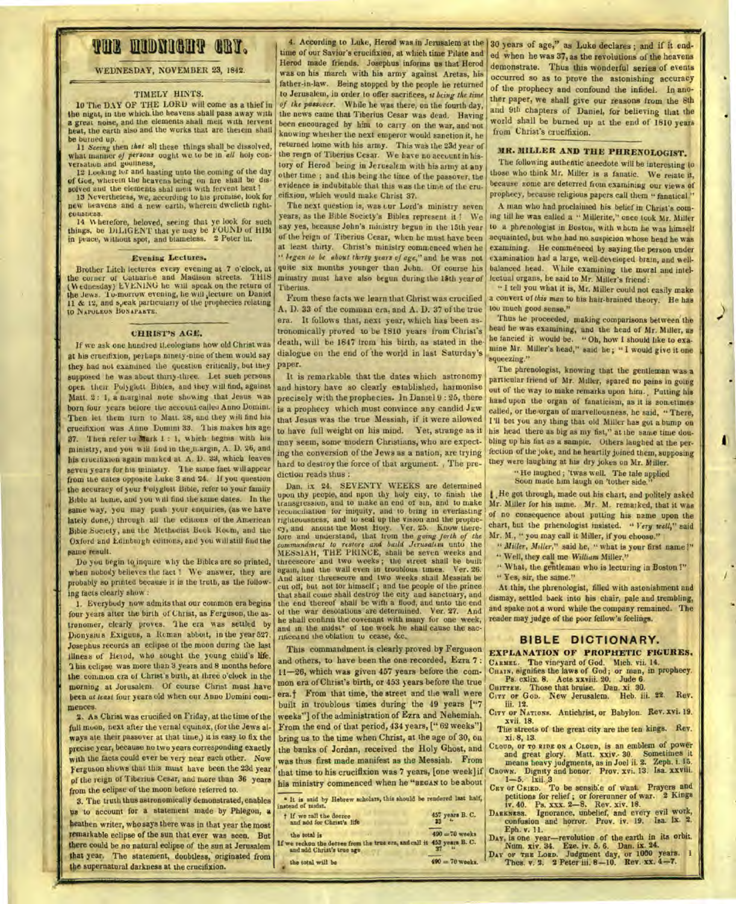# **THE MIDNIGHT CRY.**

#### **WEDNESDAY, NOVEMBER 23, 1842.**

### **TIMELY HINTS.**

**10 The DAY OF THE LORD will come as a thief in the night, in the which the heavens shall pass away with a great noise, and the elements shall melt with fervent heat, the earth also and the works that are therein shall be burned up.** 

**11** *Seeing* **then** *that* all **these things shall\_be dissolved, what manner** *of prrsons* **ought we to be in** *all* **holy conversation and guiltiness,** 

**12 Looking for and basting unto the coining of the day, of Oust, wherein the heavens being on fire shall be dis**solved and the elements shal men with fervent heat ?

**13 Nevertheless, we, according to his promise, look** for **new heavens and a new earth, wherein dwelleth righteousness.** 

14 *W* **herefore, beloved, seeing that ye look for such things, be DILIGENT that ye may be FOUND of HIM in peace, without spot, and blameless. 2 Peter in.** 

#### **Evening Lectures.**

**Brother Litch lectures every evening at 7 o'clock, at the corner of tsatharise and Madison streets. THIS**  (Wednesday) LVENING he will speak on the return of **the Jews. '1 u•morrow evening, he will ,lecture on Daniel 11 & 12, and s,,eak particularly of the prophecies relating to NAPOLEON BONAPARTE.** 

#### **CHRIST'S AGE.**

**If we ask one hundred tl.eologians how old Christ was at his crucifixion, perhaps ninety-nine of them would say they had not examined the question critically, but they supposed he was about thirty-three. Let such persons open. their Poly glutt Bibles, and they will find, against**  Matt. 2 : 1, a marginal note showing that Jesus was **born four years belore the account called Anno Domini. Then let them turn to Matt. 28, and they will find his crucifixion was Anno Domini 33. 1 his makes his** age 37. **then refer to mark 1 : 1, which begins with his ministry, and you will find in the ,margin, A. 1). '26, and his crucifixion again marked at A. D. 33, which leaves seven years for his ministry. 1 lie** *same* **fact will appear**  from the **dates opposite Luke 3 and 24. If you** question the accuracy ot your Volyglott **Bible, refer to your family bible at home, and you w al find the same dates. In the**  *Oanie* **way, you** *may* **push your** enquiries, (as we **have lately dune,) through all the editions or the American Dible,Society, anti** *the* Methodist **Book Room, and the Oxford and Edinburgh editions, and you will still find the came result.** 

**Do you begin to inquire why the Bibles are so printed, when** nobody **believes the fact 1 We answer, they are probably so printed because it is the truth, as the following facts clearly show :** 

**1. Everybody now admits that our common era begins four years alter the birth of Christ, as Ferguson, the astronomer, clearly proves. 'I he era was settled by Diouysiu s Exiguus, a Roman abbot, in the year 527. Josephus records an eclipse of the moon during the last**  illness of Herod, who sought the young child's life. **'1 his eclipse was more than 3 years and 8 months before the common era of Christ's birth, at three o'clock in the Morning at Jorusalem. Of course Christ must have**  been *at least* four years old when our Anno Domini com**mences.** 

**2. As Christ was crucified on Friday, at the time of the full moon, next after the vernal equinox, (for the Jews always ate their passover at that time,) it is easy to fix the precise year, because no two years corresponding exactly with the facts could ever be very near each other. Now Ferguson shows that** this must have **been the 23d year of the reign of Tiberius Cesar, and more than 36 years from the eclipse of the moon before referred to.** 

**3. The truth thus astronomically demonstrated, enables us to account for a statement made by Phlegon, a heathen writer, who says there was in that year the most remarkable eclipse of the sun that ever was seen. But there could be no natural eclipse of the sun at Jerusalem**  that year. The statement, doubtless, originated from the supernatural darkness at the crucifixion.

**4. According to Luke, Herod was in Jerusalem at the**  30 years of age," as Luke declares ; and if it end**time of our Savior's crucifixion, at w hich time Pilate and IIered made friends. Josephus informs us that Herod was on his march with his army against Aretas,** his father-in-law. Being stopped by the people he returned **to Jerusalem, in** order **to offer sacrifices, it** *being the time of the passo-ver.* **While he was there, on the fourth day, the** news **came that Tiberius Cesar was dead. Having been encouraged by him to carry on the war, and not knowing whether the next emperor would sanction it, he returned home with his army. This was the 23d year of**  *the* **reign of Tiberius Cesar. We have no account in history of Herod being in Jerusalem with his army at any other** time ; and this **being the time of the passover, the evidence is indubitable that this was the time of the crucifixion, which would make Christ 37.** 

**The next question is, was cur Lord's ministry seven years, as the Bible Society's Bibles represent it 1 We say yes, because John's ministry begun in the 15th year of the 'reign of Tiberius Cesar, when he must have been at least thirty. Christ's ministry commenced when he**  *" began to be about thirty years of age,"* **and lie was not quite six months younger than John. Of course his**  ministry must have also begun during the 15th year of **Tiberius.** 

**From these facts we learn that** Christ was crucified A, D. **33** of the cornman era. and A. **D. 37 of the** true era. It follows that, next year, which has been astronomically proved to be 1810 years from **Christ's death, will be 1847 from his birth, as stated** in the• dialogue on the end of the world in last Saturday's paper,

It is remarkable that the dates which astronomy and history have so clearly established, harmonise precisely with the prophecies. In Daniel 9 : 25, there is a prophecy which must convince any candid  $J_{EW}$ **that Jesus was the true Messiah, if it** were allowed to have full **weight on his mind. Yet, strange as it**  may seem, some modern Christians, who are **expecting the conversion of the Jews as a nation, are trying hard to** destroy the force of that argument. , The **prediction reads thus :** 

**Dan. ix 24. SEVENTY WEEKS are determined upon thy people, and npon thy holy city, to finish the transgiession, and to make** an enu **of sin, and to make**  reconciliation fur iniquity, **and to bring in everlasting righteousness, and to** seal **up the vision and the prophecy, and anoint the Most holy. Ver. 25. Know** therefore and understand, that **from the** *going forth of the commandment to restore and build Jerusalem* **unto the MESslAli, THE PRINCE, shall be seven weeks and threescore and two weeks ; the street shall he built again, had the wall even in troublous times. Ver. 26.**  And alter threescore and two **weeks** shad Messiah **be cut oti; but not for himself ; and trie people of the prince that shall come shall** destroy **the city and** sanctuary, and **the end thereof shall be with a flood, and unto the end of the war desolations are determined. Ver. 27. And**  he shall confirm the covenant with many for one week, and in the midst<sup>\*</sup> of the week he shall cause the sacrinceaud the oblation to cease, &c.

**This commandment is** clearly proved by Ferguson and others, to have been the one recorded, Ezra 7 : 11-26, which was given 457 years before the common era of Christ's birth, or 453 years before the true era.<sup>†</sup> From that time, the street and the wall were built in troublous times during the 49 years **["7**  weeks''] of the administration of Ezra and Nehemiah. From the end of that period, 434 years, [" 62 weeks"] bring us to the time when Christ, at the age **of 30, on the** banks of Jordan, received the Holy Ghost, and was thus first made manifest as the Messiah. From that time to his crucifixion was 7 years, [one week] if his ministry commenced when he **"BEGAN to be about** 

| " It is mid by Hebrew scholars, this should be rendered last half,<br>instead of midst.                              |                   | petitions for relief; or forerunner of war. 2 Kings<br>iv. 40. Ps. xxx. 2-8. Rev. xiv. 18.                                                                            |
|----------------------------------------------------------------------------------------------------------------------|-------------------|-----------------------------------------------------------------------------------------------------------------------------------------------------------------------|
| + If we sall the decree<br>and add for Christ's life                                                                 | 457 years B. C.   | DARKNESS. Ignorance, unbelief, and every evil work,<br>confusion and horror. Prov. iv. 19. Isa. 1x. 2.                                                                |
| the total is<br>If we reckon the decree from the true era, and call it 453 years B. C.<br>and add Christ's true age. | $490 = 70$ weeks  | Eph. v. 11.<br>DAY, is one year-revolution of the earth in its orbit.<br>Num. xiv. 34. Eze. iv. 5. 6. Dan. ix. 24.<br>DAY OF THE LORD. Judgment day, or 1000 years. I |
| the total will be                                                                                                    | $490 = 70$ weeks. | Thes. v. 2. 2 Peter iii. 8-10. Rev. xx. 4-7.                                                                                                                          |

ed when he was 37, as the revolutions of the heavens demonstrate. Thus this wonderful series of **events**  occurred so as to prove the astonishing accuracy of the prophecy and confound the **infidel. In another paper, we shall give our reasons from the** 8th and 9tli **chapters** of Daniel, for believing that the world shall be burned up at the end of **1810** years from Christ's **crucifixion.** 

## **MR. MILLER** *AND* **THE PHRENOLOGIST.**

**The following authentic anecdote will be interesting to those who think Mr. Miller is a fanatic. We relate it, because sonic are deterred from examining our views of prophecy, because religious papers call them " fanatical."** 

**A. man who had proclaimed his belief in Christ's coming till he** was called a " Millerite," once took Mr. Miller to a **phrenologist in Boston, with whom he was himself acquainted, but who had no suspicion whose bead he was examining. He commenced by saying the person under**  examination had a large, well-developed brain, and well**balanced head. While examining the moral and intellectual organs, he said to Mr. Miller's friend :** 

**" I tell you what it is, Mr. Miller could not easily make a convert of** *this man* **to his hair-brained theory. He has too much good sense."** 

**Thus he proceeded, making comparisons between the bead he was examining, and the head of Mr. Miller, as he fancied it would be. " Oh, how I should like to examine Mr.** Miller's **head," said lie ; " I would** give it one **squeezing."** 

**The phrenologist, knowing that the gentleman** was **a particular friend of Mr. Miller,** spared no pains **in going out of the** way to **make remarks upon him. , Putting his hand upon the organ of fanaticism, as it is sometimes called, or the organ of marvellousness, he said, " There, I'll bet you any thing that old Miller has got a bump on his head there as big as my** fist," at **the same time doubling up his fist as a sample. Others laughed at the perfection of the joke, and he heartily joined them, supposing**  they were **laughing at his dry** jokes on Mr. Miller.

**• He laughed ; 'twas well. The tale applied**  Soon made him laugh on 'tother side

**1 ,He got through, made out his chart, and politely asked Mr. Miller for his name. Mr. M. remarked, that it was of no consequence about putting his name upon the chart, hut the prhenologist insisted. Very** *well,"* **said Mr. M., " you may call it Miller, if you choose."** 

*" Miller, Miller,"* said he, " what is your first name 1"

- **" Well, they call me** *William* **Miller."**
- **" What, the gentleman who is lecturing in Boston 1"**

**" Yes, sir, the** same."

At this, **the phrenologist, filled with astonishment and**  dismay, settled back into his chair, **pale and trembling, and spake not a word while the company remained. The reader may judge of the poor fellow's feelings.** 

#### **BIBLE DICTIONARY.**

### **EXPLANATION OF PROPHETIC FIGURES.**

**CARMEL. The vineyard of God. Mich.** vii. **14. CHAIN, signifies the laws of God; or roan, in prophecy.** 

Ps. cxlix. 8. Acts xxviii. 20. Jude 6. **CHITTRM.** Those that bruise. Dan. xi. 30.

CHITTEM. Those that bruise. Dan. xi. 30.<br>City of God. New Jerusalem. Heb. iii. 22. Rev.

**iii. 12. CITY OF NATIONS. Antichrist, or Babylon. Rev. xvi. 19.** 

**xvii. 18. The streets of the great city are the ten** kings. Rev.

**xi. 8, 13.** 

CLOUD, or TO RIDE ON A CLOUD, is an emblem of power<br>and great glory. Matt. xxiv. 30. Sometimes it<br>means heavy judgments, as in Joel ii. 2. Zeph. i. 15.<br>CROWN. Dignity and honor. Prov. xvi. 13. Isa. xxviii.<br> $1-5$ . 1xii. 3<br>

petitions for relief ; or forerunner of war. 2 Kings iv. 40. Ps. xxx. 2-8. Rev. xiv. 18.<br>DARKWESS. Ignorance, unbelief, and every evil work, confusion and horror. Prov. iv. 19. Isa. Ix. 2. **Eph. v. 11.**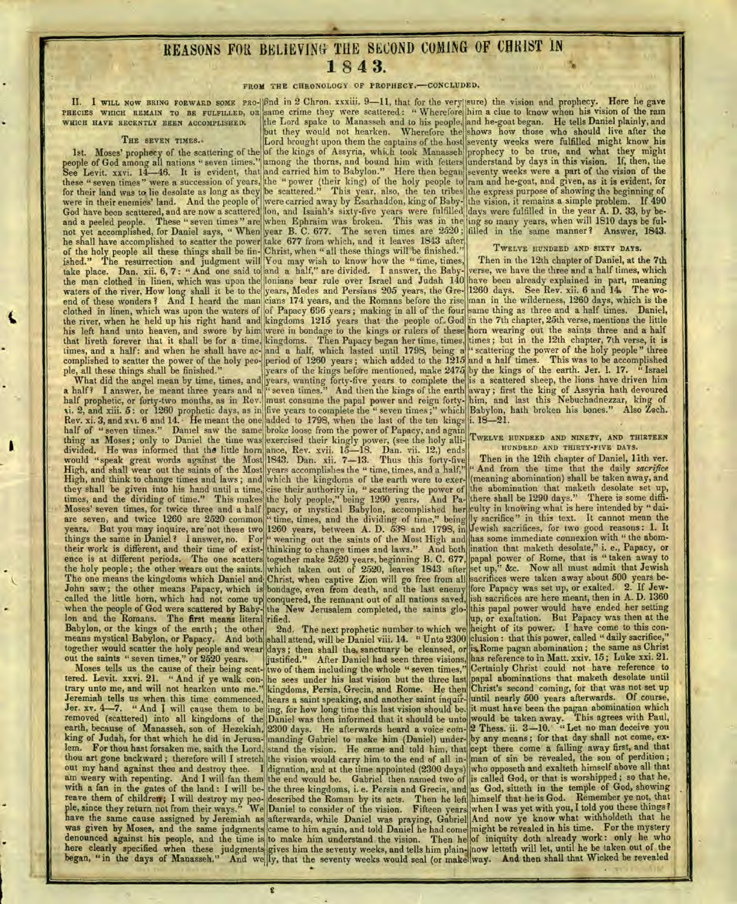# REASONS FOIL BELIEVING- THE SECOND COMING OF CBRIST **IN 1** 8 4 3.

#### FROM THE CHRONOLOGY OF PROPHECY.-CONCLUDED.

people of God among all nations " seven times." among the thorns, and bound him with fetters See Levit. xxvi. 14-46. It is evident, that and carried him to Babylon." Here then began these " seven times" were a succession of years, the " power (their king) of the holy people to for their land was to lie desolate as long as they be scattered." This year, also, the ten tribes were in their enemies' land. And the people of were carried away by Esarhaddon, king of Baby-God have been scattered, and are now a scattered and a peeled people. These "seven times" are not yet accomplished, for Daniel says, " When he shall have accomplished to scatter the power of the holy people all these things shall be finished." The resurrection and judgment will take place. Dan. xii. 6, 7 : " And one said to the man clothed in linen, which was upon the waters of the river, How long shall it be to the end of these wonders ? And I heard the man clothed in linen, which was upon the waters of the river, when he held up his right hand and his left hand unto heaven, and swore by him that liveth forever that it shall be for a time, times, and a half: and when he shall have accomplished to scatter the power of the holy people, all these things shall be finished."

What did the angel mean by time, times, and a half? I answer, he meant three years and a half prophetic, or forty-two mouths, as in Rev. xi. 2, and xiii. 5: or 1260 prophetic days, as in Rev. xi. 3, and xvi. 6 and 14. • He meant the one half of "seven times." Daniel saw the same thing as Moses ; only to Daniel the time was divided. He was informed that the little horn would "speak great words against the Most High, and shall wear out the saints of the Most they shall be given into his hand until a time, times, and the dividing of time." This makes Moses' seven times, for twice three and a half are seven, and twice 1260 are 2520 common years. But you may inquire, are not these two things the same in Daniel ? I answer, no. For their work is different, and their time of existence is at different periods. The one scatters the holy people ; the other wears out the saints. The one means the kingdoms which Daniel and John saw; the other means Papacy, which is called the little horn, which had not come up when the people of God were scattered by Babylon and the Romans. The first means literal Babylon, or the kings of the earth ; the other means mystical Babylon, or Papacy. And both together would scatter the holy people and wear out the saints " seven times," or 2520 years.

Moses tells us the cause of their being scattered. Levit. xxvi. 21. " And if ye walk contrary unto me, and will not hearken unto me." Jeremiah tells us when this time commenced,<br>Jer. xv. 4-7. "And I will cause them to be removed (scattered) into all kingdoms of the earth, because of Manasseh, son of Hezekiah, king of Judah, for that which he did in Jerusalem. For thou hast forsaken me, saith the Lord, thou art gone backward ; therefore will I stretch out my hand against thee and destroy thee. I am weary with repenting. And I will fan them with a fan in the gates of the land : I will bereave them of children; I will destroy my people, since they return not from their ways." We have the same cause assigned by Jeremiah as was given by Moses, and the same judgments denounced against his people, and the time is here clearly specified when these judgments began, " in the days of Manasseh." And we

lon, and Isaiah's sixty-five years were fulfilled when Ephraim was broken. This was in the' year B. C. 677. The seven times are 2520; take 677 from which, and it leaves 1843 after Christ, when " all these things will be finished." II. I WILL NOW BRING FORWARD SOME PRO-16nd in 2 Chron. xxxiii. 9-11, that for the very PHECIES WHICH REMAIN TO BE FULFILLED, OR same crime they were scattered: " Wherefore WHICH HAVE RECENTLY BEEN ACCOMPLISHED. The Lord spake to Manasseh and to his people, but they would not hearken. Wherefore the THE SEVEN TIMES. |Lord brought upon them the captains of the host 1st. Moses' prophecy of the scattering of the of the kings of Assyria, which took Manasseh

You may wish to know how the "time, times, and a half," are divided. I answer, the Babylonians bear rule over Israel and Judah 140 years, Medes and Persians 205 years, the Grecians 174 years, and the Romans before the rise of Papacy 696 years; making in all of the four kingdoms 1215 years that the people of- God were in bondage to the kings or rulers of these kingdoms. Then Papacy began her time, times, and a half, which lasted until 1798, being a period of 1260 years ; which added to the 1215 years of the kings before mentioned, make 2475 years, wanting forty-five years to complete the " seven times." And then the kings of the earth must consume the papal power and reign fortyfive years to complete the " seven times ;" which added to 1798, when the last of the ten kings broke loose from the power of Papacy, and again

exercised their kingly power, (see the holy alliance, Rev. xvii. 15-18. Dan. vii. 12.) ends 1843. Dan. xii. 7-13. Thus this forty-five years accomplishes the " time, times, and a half," cise their authority in, " scattering the power of the holy people," being 1260 years. And Papacy, or mystical Babylon, accomplished her time, times, and the dividing of time," being 1260 years, between A. D. 539 and 1798, in wearing out the saints of the Most High and thinking to change times and laws." And both together make 2520 years, beginning B. C. 677, which taken out of 2520, leaves 1843 after Christ, when captive Zion will go free from all bondage, even from death, and the last enemy conquered, the remnant out of all nations saved, the New Jerusalem completed, the saints glorified.

2nd. The next prophetic number to which we shall attend, will be Daniel viii. 14. " Unto 2300 days ; then shall the. sanctuary be cleansed, or justified." After Daniel had seen three visions, two of them including the whole " seven times," he sees under his last vision but the three last kingdoms, Persia, Grecia, and Rome. He then hears a saint speaking, and another saint inquiring, for how long time this last vision should be. Daniel was then informed that it should be unto 2300 days. He afterwards heard a voice commanding Gabriel to make him (Daniel) understand the vision. He came and told him, that the vision would carry him to the end of all indignation, and at the time appointed (2300 days) the end would be. Gabriel then named two of the three kingdoms, i. e. Persia and Grecia, and described the Roman by its acts. Then he left Daniel to consider of the vision. Fifteen years afterwards, while Daniel was praying, Gabriel came to him again, and told Daniel he had come to make him understand the vision. Then he gives him the seventy weeks, and tells him plainly, that the seventy weeks would seal (or make

sure) the vision and prophecy. Here he gave him a clue to know when his vision of the ram and he-goat began. He tells Daniel plainly, and shows how those who should live after the seventy weeks were fulfilled might know his prophecy to be true, and what they might 'understand by days in this vision. If, then, the seventy weeks were a part of the vision of the ram and he-goat, and given, as it is evident, for the express purpose of showing the beginning of the vision, it remains a simple problem. If 490 days were fulfilled in the year A. D. 33, by being so many years, when will 1810 days be fulfilled in the same manner? Answer, 1843.

#### TWELVE HUNDRED AND SIXTY DAYS.

Then in the 12th chapter of Daniel, at the 7th verse, we have the three and a half times, which have been already explained in part, meaning 1260 days. See Rev. xii. 6 and 14 The woman in the wilderness, 1260 days, which is the same thing as three and a half times. Daniel, in the 7th chapter, 25th verse, mentions the little horn wearing out the saints three and a half times ; but in the 12th chapter, 7th verse, it is scattering the power of the holy people" three and a half times. This was to be accomplished by the kings of the earth. Jer. 1. 17. " Israel is a scattered sheep, the lions have driven him away ; first the king of Assyria hath devoured him, and last this Nebuchadnezzar, king of Babylon, hath broken his bones." Also Zech. i. 18-21.

#### TWELVE HUNDRED AND NINETY, AND THIRTEEN HUNDRED AND THIRTY-FIVE DAYS.

High, and think to change times and laws; and which the kingdoms of the earth were to exer- (meaning abomination) shall be taken away, and Then in the 12th chapter of Daniel, 11th ver. " And from the time that the daily *sacrifice*  the abomination that maketh desolate set up, there shall be 1290 days." There is some difficulty in knowing what is here intended by " daily sacrifice" in this text. It cannot mean the Jewish sacrifices, for two good reasons : I. It has some immediate connexion with " the abomination that maketh desolate," i. e., Papacy, or papal power of Rome, that is " taken away to set up," &c. Now all must admit that Jewish sacrifices were taken away about 500 years before Papacy was set up, or exalted. 2. If Jewish sacrifices are here meant, then in A. D. 1360 this papal power would have ended her setting up, or exaltation. But Papacy was then at the height of its power. I have come to this conclusion : that this power, called " daily sacrifice," is Rome pagan abomination; the same as Christ has reference to in Matt. xxiv. 15; Luke xxi. 21. Certainly Christ could not have reference to papal abominations that maketh desolate until Christ's second coming, for that was not set up until nearly 500 years afterwards. Of course, it must have been the pagan abomination which would be taken away. This agrees with Paul, 2 Thess. ii. 3-10. "Let no man deceive you by any means ; for that day shall not come, except there come a falling away first, and that man of sin be revealed, the son of perdition ; who opposeth and exalteth himself above all that is called God, or that is worshipped ; so that he, as God, sitteth in the temple of God, showing himself that he is God. Remember ye not, that when I was yet with you, I told you these things? And now ye know what withholdeth that he might be revealed in his time. For the mystery of iniquity doth already work : only he who now letteth will let, until he be taken out of the way. And then shall that Wicked be revealed